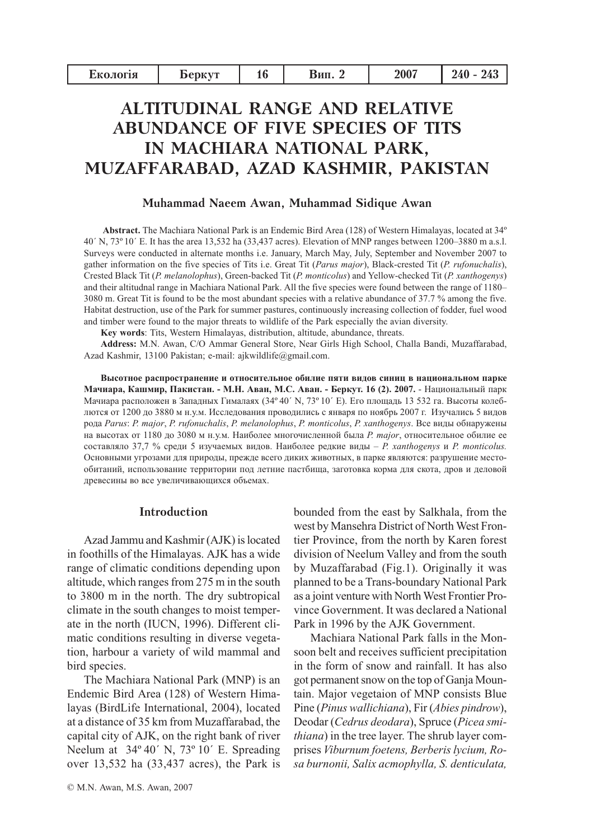| Екологія | <b>DeDKVT</b> | 16 | Бип. | 2007 | 240<br>$243\,$ |
|----------|---------------|----|------|------|----------------|
|          |               |    |      |      |                |

# **ALTITUDINAL RANGE AND RELATIVE ABUNDANCE OF FIVE SPECIES OF TITS** IN MACHIARA NATIONAL PARK, MUZAFFARABAD, AZAD KASHMIR, PAKISTAN

## Muhammad Naeem Awan, Muhammad Sidique Awan

Abstract. The Machiara National Park is an Endemic Bird Area (128) of Western Himalayas, located at 34° 40' N, 73° 10' E. It has the area 13,532 ha (33,437 acres). Elevation of MNP ranges between 1200–3880 m a.s.l. Surveys were conducted in alternate months i.e. January, March May, July, September and November 2007 to gather information on the five species of Tits i.e. Great Tit (Parus major), Black-crested Tit (P. rufonuchalis), Crested Black Tit (P. melanolophus), Green-backed Tit (P. monticolus) and Yellow-checked Tit (P. xanthogenys) and their altitudnal range in Machiara National Park. All the five species were found between the range of 1180– 3080 m. Great Tit is found to be the most abundant species with a relative abundance of 37.7 % among the five. Habitat destruction, use of the Park for summer pastures, continuously increasing collection of fodder, fuel wood and timber were found to the major threats to wildlife of the Park especially the avian diversity.

Key words: Tits, Western Himalayas, distribution, altitude, abundance, threats,

Address: M.N. Awan, C/O Ammar General Store, Near Girls High School, Challa Bandi, Muzaffarabad, Azad Kashmir, 13100 Pakistan; e-mail: ajkwildlife@gmail.com.

Высотное распространение и относительное обилие пяти видов синиц в национальном парке Мачиара, Кашмир, Пакистан. - М.Н. Аван, М.С. Аван. - Беркут. 16 (2). 2007. - Национальный парк Мачиара расположен в Западных Гималаях (34°40' N, 73°10' E). Его площадь 13 532 га. Высоты колеблются от 1200 до 3880 м н.у.м. Исследования проводились с января по ноябрь 2007 г. Изучались 5 видов рода Parus: P. major, P. rufonuchalis, P. melanolophus, P. monticolus, P. xanthogenys. Все виды обнаружены на высотах от 1180 до 3080 м н.у.м. Наиболее многочисленной была *P. major*, относительное обилие ее составляло 37,7 % среди 5 изучаемых видов. Наиболее редкие виды - P. xanthogenys и P. monticolus. Основными угрозами для природы, прежде всего диких животных, в парке являются: разрушение местообитаний, использование территории под летние пастбища, заготовка корма для скота, дров и деловой древесины во все увеличивающихся объемах.

#### **Introduction**

Azad Jammu and Kashmir (AJK) is located in foothills of the Himalayas. AJK has a wide range of climatic conditions depending upon altitude, which ranges from 275 m in the south to 3800 m in the north. The dry subtropical climate in the south changes to moist temperate in the north (IUCN, 1996). Different climatic conditions resulting in diverse vegetation, harbour a variety of wild mammal and bird species.

The Machiara National Park (MNP) is an Endemic Bird Area (128) of Western Himalayas (BirdLife International, 2004), located at a distance of 35 km from Muzaffarabad, the capital city of AJK, on the right bank of river Neelum at 34°40' N, 73°10' E. Spreading over 13,532 ha (33,437 acres), the Park is

© M.N. Awan, M.S. Awan, 2007

bounded from the east by Salkhala, from the west by Mansehra District of North West Frontier Province, from the north by Karen forest division of Neelum Valley and from the south by Muzaffarabad (Fig.1). Originally it was planned to be a Trans-boundary National Park as a joint venture with North West Frontier Province Government. It was declared a National Park in 1996 by the AJK Government.

Machiara National Park falls in the Monsoon belt and receives sufficient precipitation in the form of snow and rainfall. It has also got permanent snow on the top of Ganja Mountain. Major vegetaion of MNP consists Blue Pine (Pinus wallichiana), Fir (Abies pindrow), Deodar (Cedrus deodara), Spruce (Picea smithiana) in the tree layer. The shrub layer comprises Viburnum foetens, Berberis lycium, Rosa burnonii, Salix acmophylla, S. denticulata,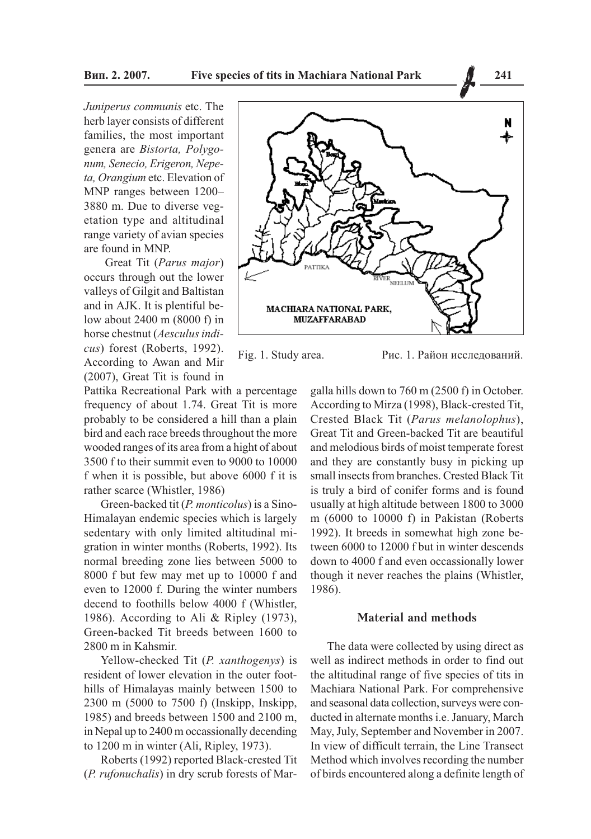Juniperus communis etc. The herb layer consists of different families, the most important genera are Bistorta, Polygonum, Senecio, Erigeron, Nepeta, Orangium etc. Elevation of MNP ranges between 1200-3880 m. Due to diverse vegetation type and altitudinal range variety of avian species are found in MNP.

Great Tit (Parus major) occurs through out the lower valleys of Gilgit and Baltistan and in AJK. It is plentiful below about 2400 m (8000 f) in horse chestnut (Aesculus indicus) forest (Roberts, 1992). According to Awan and Mir (2007), Great Tit is found in

Pattika Recreational Park with a percentage frequency of about 1.74. Great Tit is more probably to be considered a hill than a plain bird and each race breeds throughout the more wooded ranges of its area from a hight of about 3500 f to their summit even to 9000 to 10000 f when it is possible, but above 6000 f it is rather scarce (Whistler, 1986)

Green-backed tit (P. monticolus) is a Sino-Himalayan endemic species which is largely sedentary with only limited altitudinal migration in winter months (Roberts, 1992). Its normal breeding zone lies between 5000 to 8000 f but few may met up to 10000 f and even to 12000 f. During the winter numbers decend to foothills below 4000 f (Whistler, 1986). According to Ali & Ripley (1973), Green-backed Tit breeds between 1600 to 2800 m in Kahsmir.

Yellow-checked Tit (P. xanthogenys) is resident of lower elevation in the outer foothills of Himalayas mainly between 1500 to 2300 m (5000 to 7500 f) (Inskipp, Inskipp, 1985) and breeds between 1500 and 2100 m, in Nepal up to 2400 m occassionally decending to 1200 m in winter (Ali, Ripley, 1973).

Roberts (1992) reported Black-crested Tit (P. rufonuchalis) in dry scrub forests of Mar-



Fig. 1. Study area.

Рис. 1. Район исследований.

galla hills down to 760 m (2500 f) in October. According to Mirza (1998), Black-crested Tit, Crested Black Tit (Parus melanolophus), Great Tit and Green-backed Tit are beautiful and melodious birds of moist temperate forest and they are constantly busy in picking up small insects from branches. Crested Black Tit is truly a bird of conifer forms and is found usually at high altitude between 1800 to 3000 m (6000 to 10000 f) in Pakistan (Roberts 1992). It breeds in somewhat high zone between 6000 to 12000 f but in winter descends down to 4000 f and even occassionally lower though it never reaches the plains (Whistler, 1986).

### Material and methods

The data were collected by using direct as well as indirect methods in order to find out the altitudinal range of five species of tits in Machiara National Park. For comprehensive and seasonal data collection, surveys were conducted in alternate months i.e. January, March May, July, September and November in 2007. In view of difficult terrain, the Line Transect Method which involves recording the number of birds encountered along a definite length of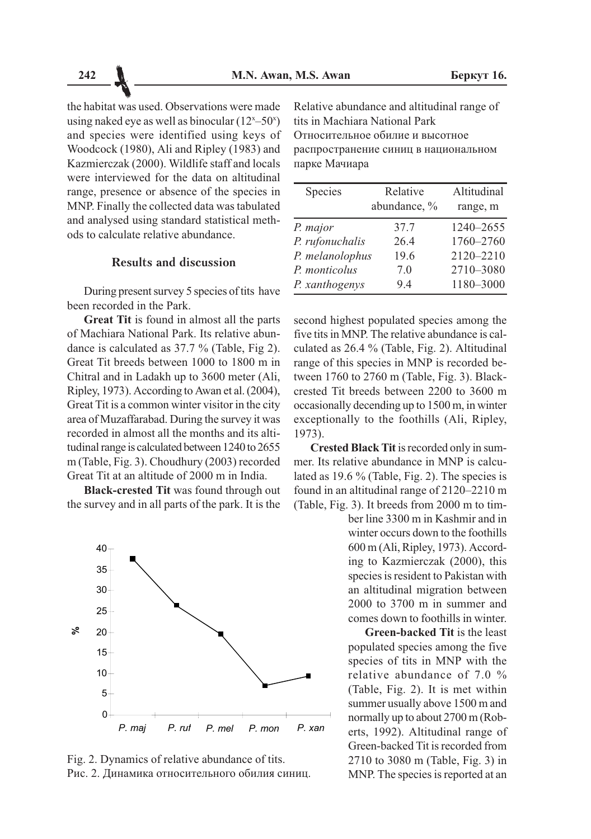the habitat was used. Observations were made using naked eye as well as binocular  $(12^{x}-50^{x})$ and species were identified using keys of Woodcock (1980), Ali and Ripley (1983) and Kazmierczak (2000). Wildlife staff and locals were interviewed for the data on altitudinal range, presence or absence of the species in MNP. Finally the collected data was tabulated and analysed using standard statistical methods to calculate relative abundance.

### **Results and discussion**

During present survey 5 species of tits have been recorded in the Park.

Great Tit is found in almost all the parts of Machiara National Park. Its relative abundance is calculated as 37.7 % (Table, Fig 2). Great Tit breeds between 1000 to 1800 m in Chitral and in Ladakh up to 3600 meter (Ali, Ripley, 1973). According to Awan et al. (2004), Great Tit is a common winter visitor in the city area of Muzaffarabad. During the survey it was recorded in almost all the months and its altitudinal range is calculated between 1240 to 2655 m (Table, Fig. 3). Choudhury (2003) recorded Great Tit at an altitude of 2000 m in India.

Black-crested Tit was found through out the survey and in all parts of the park. It is the



Fig. 2. Dynamics of relative abundance of tits. Рис. 2. Динамика относительного обилия синиц.

Relative abundance and altitudinal range of tits in Machiara National Park Относительное обилие и высотное распространение синиц в национальном парке Мачиара

| Species         | Relative<br>abundance, % | Altitudinal<br>range, m |  |
|-----------------|--------------------------|-------------------------|--|
| P. major        | 37.7                     | 1240-2655               |  |
| P. rufonuchalis | 26.4                     | 1760-2760               |  |
| P. melanolophus | 19.6                     | 2120-2210               |  |
| P. monticolus   | 7.0                      | 2710-3080               |  |
| P. xanthogenys  | 9.4                      | 1180-3000               |  |

second highest populated species among the five tits in MNP. The relative abundance is calculated as 26.4 % (Table, Fig. 2). Altitudinal range of this species in MNP is recorded between 1760 to 2760 m (Table, Fig. 3). Blackcrested Tit breeds between 2200 to 3600 m occasionally decending up to 1500 m, in winter exceptionally to the foothills (Ali, Ripley,  $1973$ ).

Crested Black Tit is recorded only in summer. Its relative abundance in MNP is calculated as 19.6 % (Table, Fig. 2). The species is found in an altitudinal range of 2120–2210 m (Table, Fig. 3). It breeds from 2000 m to tim-

> ber line 3300 m in Kashmir and in winter occurs down to the foothills 600 m (Ali, Ripley, 1973). According to Kazmierczak (2000), this species is resident to Pakistan with an altitudinal migration between  $2000$  to  $3700$  m in summer and comes down to foothills in winter

> **Green-backed Tit is the least** populated species among the five species of tits in MNP with the relative abundance of 7.0  $\%$ (Table, Fig. 2). It is met within summer usually above 1500 m and normally up to about 2700 m (Roberts, 1992). Altitudinal range of Green-backed Tit is recorded from 2710 to 3080 m (Table, Fig. 3) in MNP. The species is reported at an